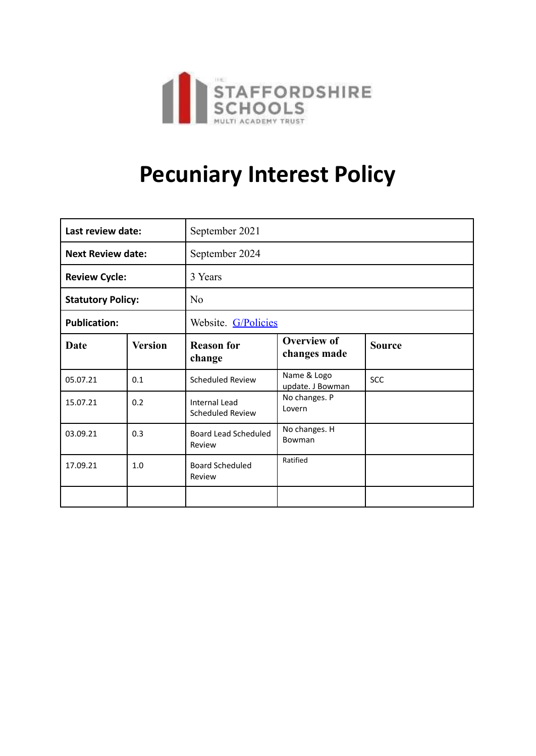

# **Pecuniary Interest Policy**

| Last review date:        |                | September 2021                           |                                    |               |  |
|--------------------------|----------------|------------------------------------------|------------------------------------|---------------|--|
| <b>Next Review date:</b> |                | September 2024                           |                                    |               |  |
| <b>Review Cycle:</b>     |                | 3 Years                                  |                                    |               |  |
| <b>Statutory Policy:</b> |                | No                                       |                                    |               |  |
| <b>Publication:</b>      |                | Website. G/Policies                      |                                    |               |  |
| Date                     | <b>Version</b> | <b>Reason for</b><br>change              | <b>Overview of</b><br>changes made | <b>Source</b> |  |
| 05.07.21                 | 0.1            | Scheduled Review                         | Name & Logo<br>update. J Bowman    | <b>SCC</b>    |  |
| 15.07.21                 | 0.2            | <b>Internal Lead</b><br>Scheduled Review | No changes. P<br>Lovern            |               |  |
| 03.09.21                 | 0.3            | <b>Board Lead Scheduled</b><br>Review    | No changes. H<br>Bowman            |               |  |
| 17.09.21                 | 1.0            | <b>Board Scheduled</b><br>Review         | Ratified                           |               |  |
|                          |                |                                          |                                    |               |  |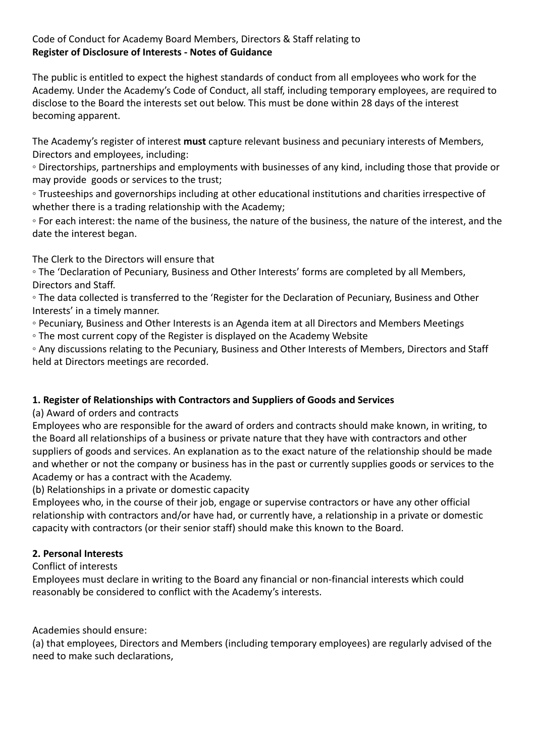### Code of Conduct for Academy Board Members, Directors & Staff relating to **Register of Disclosure of Interests - Notes of Guidance**

The public is entitled to expect the highest standards of conduct from all employees who work for the Academy. Under the Academy's Code of Conduct, all staff, including temporary employees, are required to disclose to the Board the interests set out below. This must be done within 28 days of the interest becoming apparent.

The Academy's register of interest **must** capture relevant business and pecuniary interests of Members, Directors and employees, including:

◦ Directorships, partnerships and employments with businesses of any kind, including those that provide or may provide goods or services to the trust;

◦ Trusteeships and governorships including at other educational institutions and charities irrespective of whether there is a trading relationship with the Academy;

◦ For each interest: the name of the business, the nature of the business, the nature of the interest, and the date the interest began.

The Clerk to the Directors will ensure that

◦ The 'Declaration of Pecuniary, Business and Other Interests' forms are completed by all Members, Directors and Staff.

◦ The data collected is transferred to the 'Register for the Declaration of Pecuniary, Business and Other Interests' in a timely manner.

◦ Pecuniary, Business and Other Interests is an Agenda item at all Directors and Members Meetings

◦ The most current copy of the Register is displayed on the Academy Website

◦ Any discussions relating to the Pecuniary, Business and Other Interests of Members, Directors and Staff held at Directors meetings are recorded.

# **1. Register of Relationships with Contractors and Suppliers of Goods and Services**

(a) Award of orders and contracts

Employees who are responsible for the award of orders and contracts should make known, in writing, to the Board all relationships of a business or private nature that they have with contractors and other suppliers of goods and services. An explanation as to the exact nature of the relationship should be made and whether or not the company or business has in the past or currently supplies goods or services to the Academy or has a contract with the Academy.

(b) Relationships in a private or domestic capacity

Employees who, in the course of their job, engage or supervise contractors or have any other official relationship with contractors and/or have had, or currently have, a relationship in a private or domestic capacity with contractors (or their senior staff) should make this known to the Board.

# **2. Personal Interests**

Conflict of interests

Employees must declare in writing to the Board any financial or non-financial interests which could reasonably be considered to conflict with the Academy's interests.

Academies should ensure:

(a) that employees, Directors and Members (including temporary employees) are regularly advised of the need to make such declarations,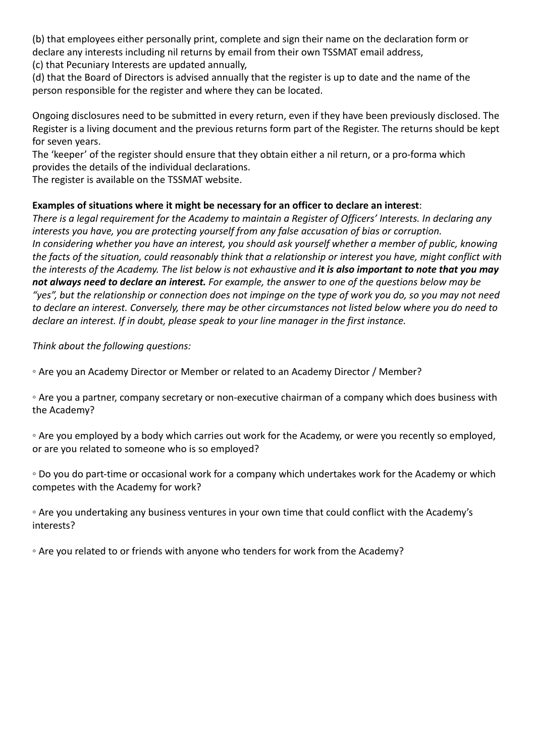(b) that employees either personally print, complete and sign their name on the declaration form or declare any interests including nil returns by email from their own TSSMAT email address,

(c) that Pecuniary Interests are updated annually,

(d) that the Board of Directors is advised annually that the register is up to date and the name of the person responsible for the register and where they can be located.

Ongoing disclosures need to be submitted in every return, even if they have been previously disclosed. The Register is a living document and the previous returns form part of the Register. The returns should be kept for seven years.

The 'keeper' of the register should ensure that they obtain either a nil return, or a pro-forma which provides the details of the individual declarations.

The register is available on the TSSMAT website.

#### **Examples of situations where it might be necessary for an officer to declare an interest**:

*There is a legal requirement for the Academy to maintain a Register of Officers' Interests. In declaring any interests you have, you are protecting yourself from any false accusation of bias or corruption. In considering whether you have an interest, you should ask yourself whether a member of public, knowing the facts of the situation, could reasonably think that a relationship or interest you have, might conflict with the interests of the Academy. The list below is not exhaustive and it is also important to note that you may not always need to declare an interest. For example, the answer to one of the questions below may be "yes", but the relationship or connection does not impinge on the type of work you do, so you may not need to declare an interest. Conversely, there may be other circumstances not listed below where you do need to declare an interest. If in doubt, please speak to your line manager in the first instance.*

*Think about the following questions:*

◦ Are you an Academy Director or Member or related to an Academy Director / Member?

◦ Are you a partner, company secretary or non-executive chairman of a company which does business with the Academy?

◦ Are you employed by a body which carries out work for the Academy, or were you recently so employed, or are you related to someone who is so employed?

◦ Do you do part-time or occasional work for a company which undertakes work for the Academy or which competes with the Academy for work?

◦ Are you undertaking any business ventures in your own time that could conflict with the Academy's interests?

◦ Are you related to or friends with anyone who tenders for work from the Academy?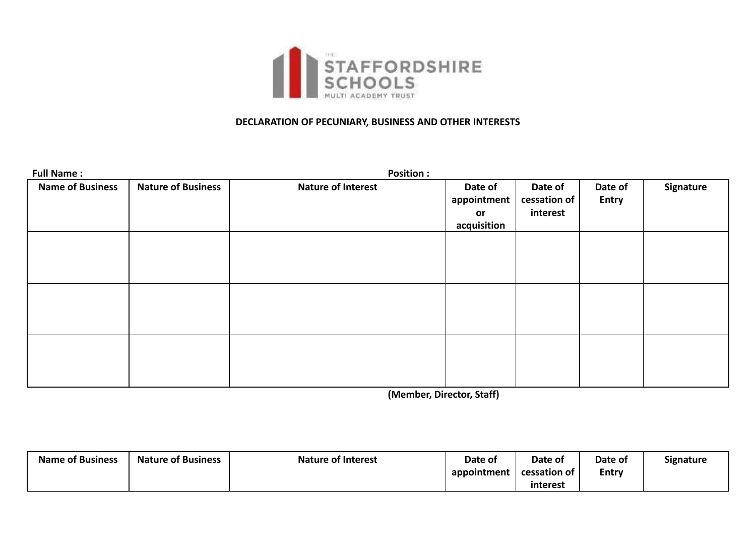

#### **DECLARATION OF PECUNIARY, BUSINESS AND OTHER INTERESTS**

| <b>Full Name:</b>       |                           | <b>Position:</b>          |                                             |                                     |                         |           |
|-------------------------|---------------------------|---------------------------|---------------------------------------------|-------------------------------------|-------------------------|-----------|
| <b>Name of Business</b> | <b>Nature of Business</b> | <b>Nature of Interest</b> | Date of<br>appointment<br>or<br>acquisition | Date of<br>cessation of<br>interest | Date of<br><b>Entry</b> | Signature |
|                         |                           |                           |                                             |                                     |                         |           |
|                         |                           |                           |                                             |                                     |                         |           |
|                         |                           |                           |                                             |                                     |                         |           |

**(Member, Director, Staff)**

| <b>Name of Business</b> | <b>Nature of Business</b> | <b>Nature of Interest</b> | Date of     | Date of      | Date of      | Signature |
|-------------------------|---------------------------|---------------------------|-------------|--------------|--------------|-----------|
|                         |                           |                           | appointment | cessation of | <b>Entry</b> |           |
|                         |                           |                           |             | interest     |              |           |